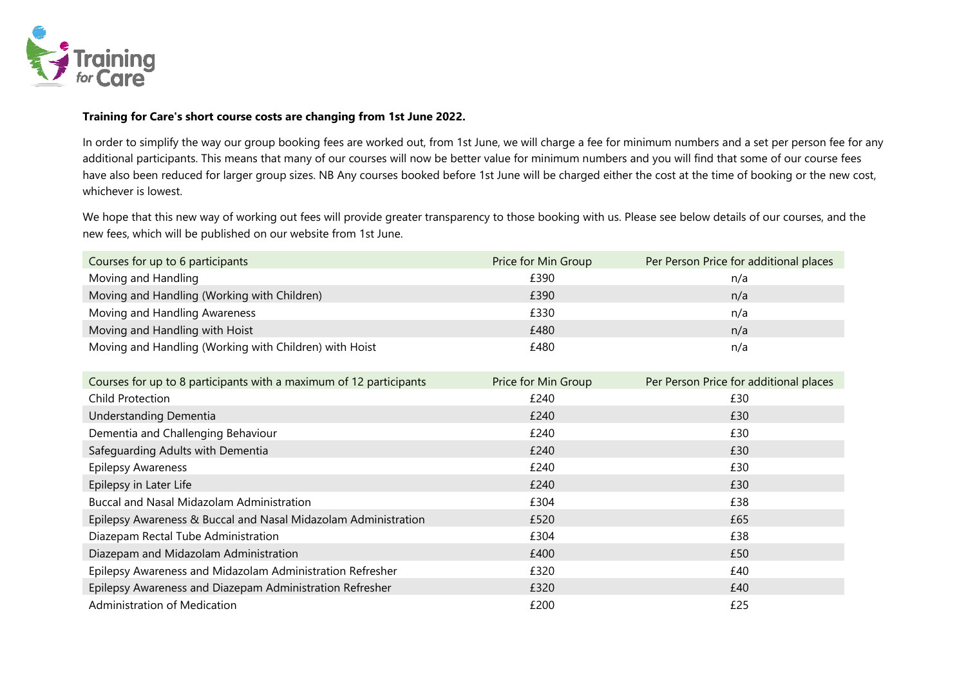

## **Training for Care's short course costs are changing from 1st June 2022.**

In order to simplify the way our group booking fees are worked out, from 1st June, we will charge a fee for minimum numbers and a set per person fee for any additional participants. This means that many of our courses will now be better value for minimum numbers and you will find that some of our course fees have also been reduced for larger group sizes. NB Any courses booked before 1st June will be charged either the cost at the time of booking or the new cost, whichever is lowest.

We hope that this new way of working out fees will provide greater transparency to those booking with us. Please see below details of our courses, and the new fees, which will be published on our website from 1st June.

| Courses for up to 6 participants                       | Price for Min Group | Per Person Price for additional places |
|--------------------------------------------------------|---------------------|----------------------------------------|
| Moving and Handling                                    | £390                | n/a                                    |
| Moving and Handling (Working with Children)            | £390                | n/a                                    |
| Moving and Handling Awareness                          | £330                | n/a                                    |
| Moving and Handling with Hoist                         | £480                | n/a                                    |
| Moving and Handling (Working with Children) with Hoist | £480                | n/a                                    |

| Courses for up to 8 participants with a maximum of 12 participants | Price for Min Group | Per Person Price for additional places |
|--------------------------------------------------------------------|---------------------|----------------------------------------|
| Child Protection                                                   | £240                | £30                                    |
| Understanding Dementia                                             | £240                | £30                                    |
| Dementia and Challenging Behaviour                                 | £240                | £30                                    |
| Safeguarding Adults with Dementia                                  | £240                | £30                                    |
| <b>Epilepsy Awareness</b>                                          | £240                | £30                                    |
| Epilepsy in Later Life                                             | £240                | £30                                    |
| <b>Buccal and Nasal Midazolam Administration</b>                   | £304                | £38                                    |
| Epilepsy Awareness & Buccal and Nasal Midazolam Administration     | £520                | £65                                    |
| Diazepam Rectal Tube Administration                                | £304                | £38                                    |
| Diazepam and Midazolam Administration                              | £400                | £50                                    |
| Epilepsy Awareness and Midazolam Administration Refresher          | £320                | £40                                    |
| Epilepsy Awareness and Diazepam Administration Refresher           | £320                | £40                                    |
| Administration of Medication                                       | £200                | £25                                    |